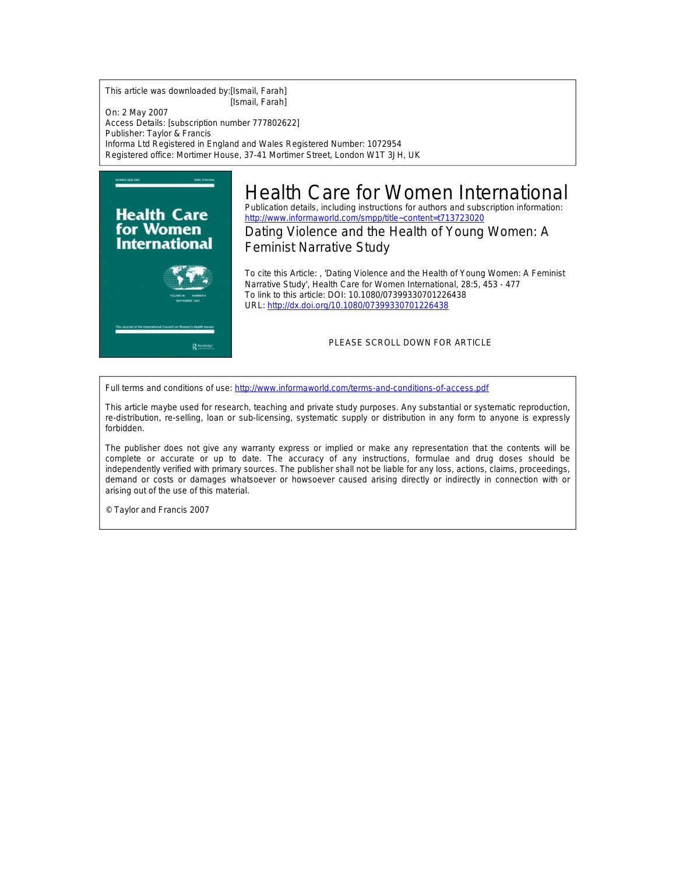This article was downloaded by:[Ismail, Farah] [Ismail, Farah]

On: 2 May 2007 Access Details: [subscription number 777802622] Publisher: Taylor & Francis Informa Ltd Registered in England and Wales Registered Number: 1072954 Registered office: Mortimer House, 37-41 Mortimer Street, London W1T 3JH, UK



# Health Care for Women International

Publication details, including instructions for authors and subscription information: <http://www.informaworld.com/smpp/title~content=t713723020>

Dating Violence and the Health of Young Women: A Feminist Narrative Study

To cite this Article: , 'Dating Violence and the Health of Young Women: A Feminist Narrative Study', Health Care for Women International, 28:5, 453 - 477 To link to this article: DOI: 10.1080/07399330701226438 URL: <http://dx.doi.org/10.1080/07399330701226438>

PLEASE SCROLL DOWN FOR ARTICLE

Full terms and conditions of use: <http://www.informaworld.com/terms-and-conditions-of-access.pdf>

This article maybe used for research, teaching and private study purposes. Any substantial or systematic reproduction, re-distribution, re-selling, loan or sub-licensing, systematic supply or distribution in any form to anyone is expressly forbidden.

The publisher does not give any warranty express or implied or make any representation that the contents will be complete or accurate or up to date. The accuracy of any instructions, formulae and drug doses should be independently verified with primary sources. The publisher shall not be liable for any loss, actions, claims, proceedings, demand or costs or damages whatsoever or howsoever caused arising directly or indirectly in connection with or arising out of the use of this material.

© Taylor and Francis 2007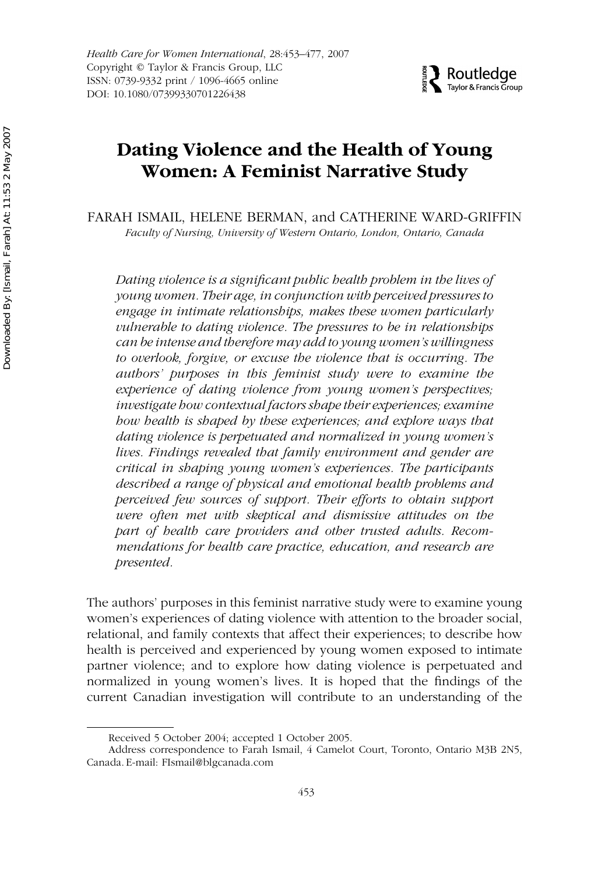## **Dating Violence and the Health of Young Women: A Feminist Narrative Study**

FARAH ISMAIL, HELENE BERMAN, and CATHERINE WARD-GRIFFIN *Faculty of Nursing, University of Western Ontario, London, Ontario, Canada*

*Dating violence is a significant public health problem in the lives of young women. Their age, in conjunction with perceived pressures to engage in intimate relationships, makes these women particularly vulnerable to dating violence. The pressures to be in relationships can be intense and therefore may add to young women's willingness to overlook, forgive, or excuse the violence that is occurring. The authors' purposes in this feminist study were to examine the experience of dating violence from young women's perspectives; investigate how contextual factors shape their experiences; examine how health is shaped by these experiences; and explore ways that dating violence is perpetuated and normalized in young women's lives. Findings revealed that family environment and gender are critical in shaping young women's experiences. The participants described a range of physical and emotional health problems and perceived few sources of support. Their efforts to obtain support were often met with skeptical and dismissive attitudes on the part of health care providers and other trusted adults. Recommendations for health care practice, education, and research are presented.*

The authors' purposes in this feminist narrative study were to examine young women's experiences of dating violence with attention to the broader social, relational, and family contexts that affect their experiences; to describe how health is perceived and experienced by young women exposed to intimate partner violence; and to explore how dating violence is perpetuated and normalized in young women's lives. It is hoped that the findings of the current Canadian investigation will contribute to an understanding of the

Received 5 October 2004; accepted 1 October 2005.

Address correspondence to Farah Ismail, 4 Camelot Court, Toronto, Ontario M3B 2N5, Canada. E-mail: FIsmail@blgcanada.com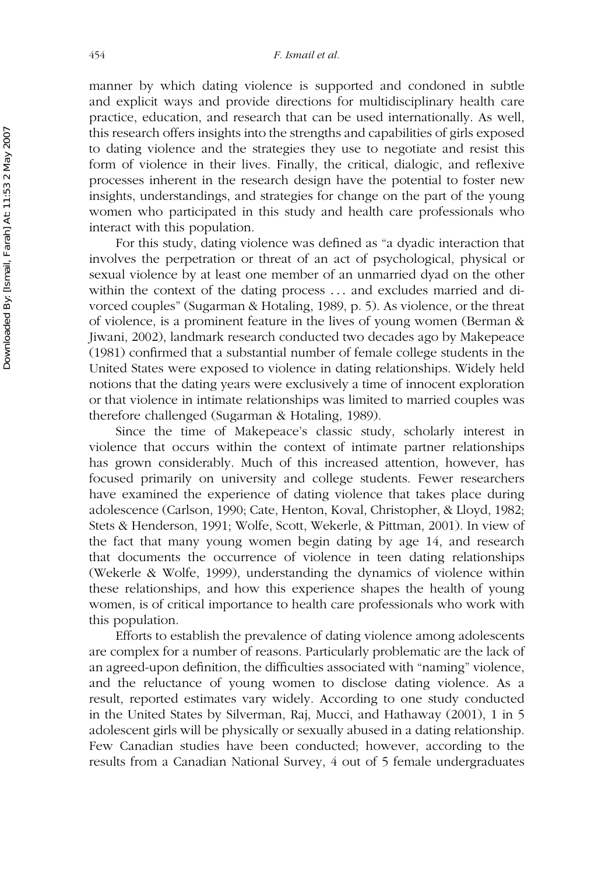manner by which dating violence is supported and condoned in subtle and explicit ways and provide directions for multidisciplinary health care practice, education, and research that can be used internationally. As well, this research offers insights into the strengths and capabilities of girls exposed to dating violence and the strategies they use to negotiate and resist this form of violence in their lives. Finally, the critical, dialogic, and reflexive processes inherent in the research design have the potential to foster new insights, understandings, and strategies for change on the part of the young women who participated in this study and health care professionals who interact with this population.

For this study, dating violence was defined as "a dyadic interaction that involves the perpetration or threat of an act of psychological, physical or sexual violence by at least one member of an unmarried dyad on the other within the context of the dating process ... and excludes married and divorced couples" (Sugarman & Hotaling, 1989, p. 5). As violence, or the threat of violence, is a prominent feature in the lives of young women (Berman & Jiwani, 2002), landmark research conducted two decades ago by Makepeace (1981) confirmed that a substantial number of female college students in the United States were exposed to violence in dating relationships. Widely held notions that the dating years were exclusively a time of innocent exploration or that violence in intimate relationships was limited to married couples was therefore challenged (Sugarman & Hotaling, 1989).

Since the time of Makepeace's classic study, scholarly interest in violence that occurs within the context of intimate partner relationships has grown considerably. Much of this increased attention, however, has focused primarily on university and college students. Fewer researchers have examined the experience of dating violence that takes place during adolescence (Carlson, 1990; Cate, Henton, Koval, Christopher, & Lloyd, 1982; Stets & Henderson, 1991; Wolfe, Scott, Wekerle, & Pittman, 2001). In view of the fact that many young women begin dating by age 14, and research that documents the occurrence of violence in teen dating relationships (Wekerle & Wolfe, 1999), understanding the dynamics of violence within these relationships, and how this experience shapes the health of young women, is of critical importance to health care professionals who work with this population.

Efforts to establish the prevalence of dating violence among adolescents are complex for a number of reasons. Particularly problematic are the lack of an agreed-upon definition, the difficulties associated with "naming" violence, and the reluctance of young women to disclose dating violence. As a result, reported estimates vary widely. According to one study conducted in the United States by Silverman, Raj, Mucci, and Hathaway (2001), 1 in 5 adolescent girls will be physically or sexually abused in a dating relationship. Few Canadian studies have been conducted; however, according to the results from a Canadian National Survey, 4 out of 5 female undergraduates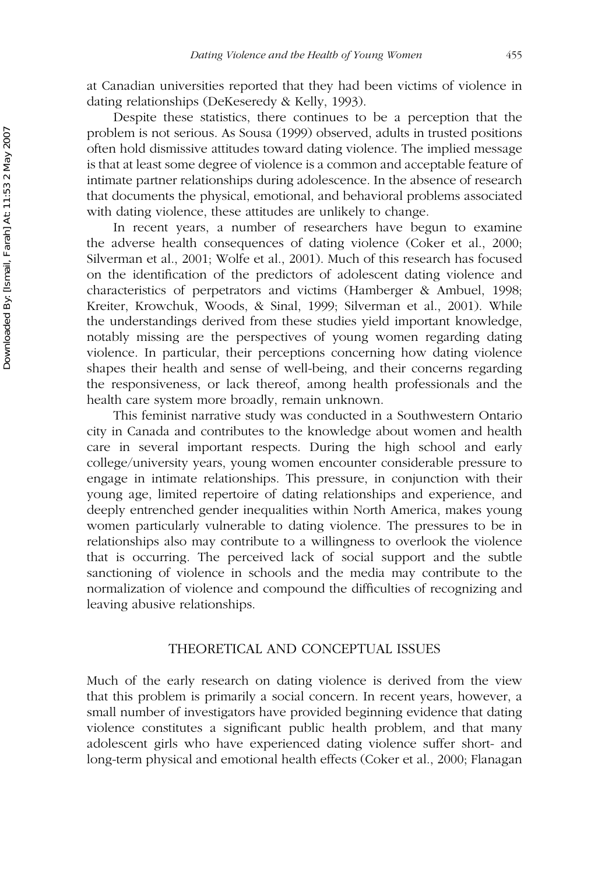at Canadian universities reported that they had been victims of violence in dating relationships (DeKeseredy & Kelly, 1993).

Despite these statistics, there continues to be a perception that the problem is not serious. As Sousa (1999) observed, adults in trusted positions often hold dismissive attitudes toward dating violence. The implied message is that at least some degree of violence is a common and acceptable feature of intimate partner relationships during adolescence. In the absence of research that documents the physical, emotional, and behavioral problems associated with dating violence, these attitudes are unlikely to change.

In recent years, a number of researchers have begun to examine the adverse health consequences of dating violence (Coker et al., 2000; Silverman et al., 2001; Wolfe et al., 2001). Much of this research has focused on the identification of the predictors of adolescent dating violence and characteristics of perpetrators and victims (Hamberger & Ambuel, 1998; Kreiter, Krowchuk, Woods, & Sinal, 1999; Silverman et al., 2001). While the understandings derived from these studies yield important knowledge, notably missing are the perspectives of young women regarding dating violence. In particular, their perceptions concerning how dating violence shapes their health and sense of well-being, and their concerns regarding the responsiveness, or lack thereof, among health professionals and the health care system more broadly, remain unknown.

This feminist narrative study was conducted in a Southwestern Ontario city in Canada and contributes to the knowledge about women and health care in several important respects. During the high school and early college/university years, young women encounter considerable pressure to engage in intimate relationships. This pressure, in conjunction with their young age, limited repertoire of dating relationships and experience, and deeply entrenched gender inequalities within North America, makes young women particularly vulnerable to dating violence. The pressures to be in relationships also may contribute to a willingness to overlook the violence that is occurring. The perceived lack of social support and the subtle sanctioning of violence in schools and the media may contribute to the normalization of violence and compound the difficulties of recognizing and leaving abusive relationships.

#### THEORETICAL AND CONCEPTUAL ISSUES

Much of the early research on dating violence is derived from the view that this problem is primarily a social concern. In recent years, however, a small number of investigators have provided beginning evidence that dating violence constitutes a significant public health problem, and that many adolescent girls who have experienced dating violence suffer short- and long-term physical and emotional health effects (Coker et al., 2000; Flanagan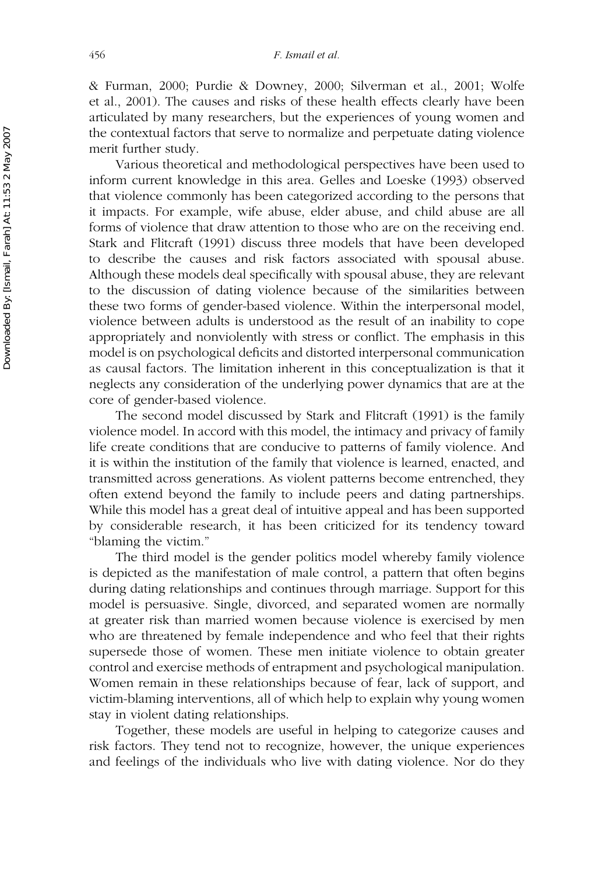& Furman, 2000; Purdie & Downey, 2000; Silverman et al., 2001; Wolfe et al., 2001). The causes and risks of these health effects clearly have been articulated by many researchers, but the experiences of young women and the contextual factors that serve to normalize and perpetuate dating violence merit further study.

Various theoretical and methodological perspectives have been used to inform current knowledge in this area. Gelles and Loeske (1993) observed that violence commonly has been categorized according to the persons that it impacts. For example, wife abuse, elder abuse, and child abuse are all forms of violence that draw attention to those who are on the receiving end. Stark and Flitcraft (1991) discuss three models that have been developed to describe the causes and risk factors associated with spousal abuse. Although these models deal specifically with spousal abuse, they are relevant to the discussion of dating violence because of the similarities between these two forms of gender-based violence. Within the interpersonal model, violence between adults is understood as the result of an inability to cope appropriately and nonviolently with stress or conflict. The emphasis in this model is on psychological deficits and distorted interpersonal communication as causal factors. The limitation inherent in this conceptualization is that it neglects any consideration of the underlying power dynamics that are at the core of gender-based violence.

The second model discussed by Stark and Flitcraft (1991) is the family violence model. In accord with this model, the intimacy and privacy of family life create conditions that are conducive to patterns of family violence. And it is within the institution of the family that violence is learned, enacted, and transmitted across generations. As violent patterns become entrenched, they often extend beyond the family to include peers and dating partnerships. While this model has a great deal of intuitive appeal and has been supported by considerable research, it has been criticized for its tendency toward "blaming the victim."

The third model is the gender politics model whereby family violence is depicted as the manifestation of male control, a pattern that often begins during dating relationships and continues through marriage. Support for this model is persuasive. Single, divorced, and separated women are normally at greater risk than married women because violence is exercised by men who are threatened by female independence and who feel that their rights supersede those of women. These men initiate violence to obtain greater control and exercise methods of entrapment and psychological manipulation. Women remain in these relationships because of fear, lack of support, and victim-blaming interventions, all of which help to explain why young women stay in violent dating relationships.

Together, these models are useful in helping to categorize causes and risk factors. They tend not to recognize, however, the unique experiences and feelings of the individuals who live with dating violence. Nor do they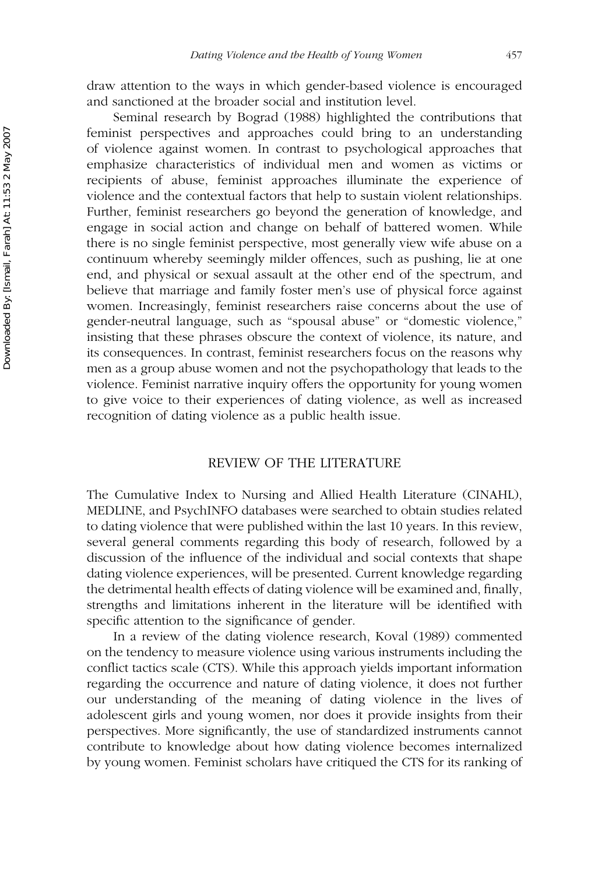draw attention to the ways in which gender-based violence is encouraged and sanctioned at the broader social and institution level.

Seminal research by Bograd (1988) highlighted the contributions that feminist perspectives and approaches could bring to an understanding of violence against women. In contrast to psychological approaches that emphasize characteristics of individual men and women as victims or recipients of abuse, feminist approaches illuminate the experience of violence and the contextual factors that help to sustain violent relationships. Further, feminist researchers go beyond the generation of knowledge, and engage in social action and change on behalf of battered women. While there is no single feminist perspective, most generally view wife abuse on a continuum whereby seemingly milder offences, such as pushing, lie at one end, and physical or sexual assault at the other end of the spectrum, and believe that marriage and family foster men's use of physical force against women. Increasingly, feminist researchers raise concerns about the use of gender-neutral language, such as "spousal abuse" or "domestic violence," insisting that these phrases obscure the context of violence, its nature, and its consequences. In contrast, feminist researchers focus on the reasons why men as a group abuse women and not the psychopathology that leads to the violence. Feminist narrative inquiry offers the opportunity for young women to give voice to their experiences of dating violence, as well as increased recognition of dating violence as a public health issue.

#### REVIEW OF THE LITERATURE

The Cumulative Index to Nursing and Allied Health Literature (CINAHL), MEDLINE, and PsychINFO databases were searched to obtain studies related to dating violence that were published within the last 10 years. In this review, several general comments regarding this body of research, followed by a discussion of the influence of the individual and social contexts that shape dating violence experiences, will be presented. Current knowledge regarding the detrimental health effects of dating violence will be examined and, finally, strengths and limitations inherent in the literature will be identified with specific attention to the significance of gender.

In a review of the dating violence research, Koval (1989) commented on the tendency to measure violence using various instruments including the conflict tactics scale (CTS). While this approach yields important information regarding the occurrence and nature of dating violence, it does not further our understanding of the meaning of dating violence in the lives of adolescent girls and young women, nor does it provide insights from their perspectives. More significantly, the use of standardized instruments cannot contribute to knowledge about how dating violence becomes internalized by young women. Feminist scholars have critiqued the CTS for its ranking of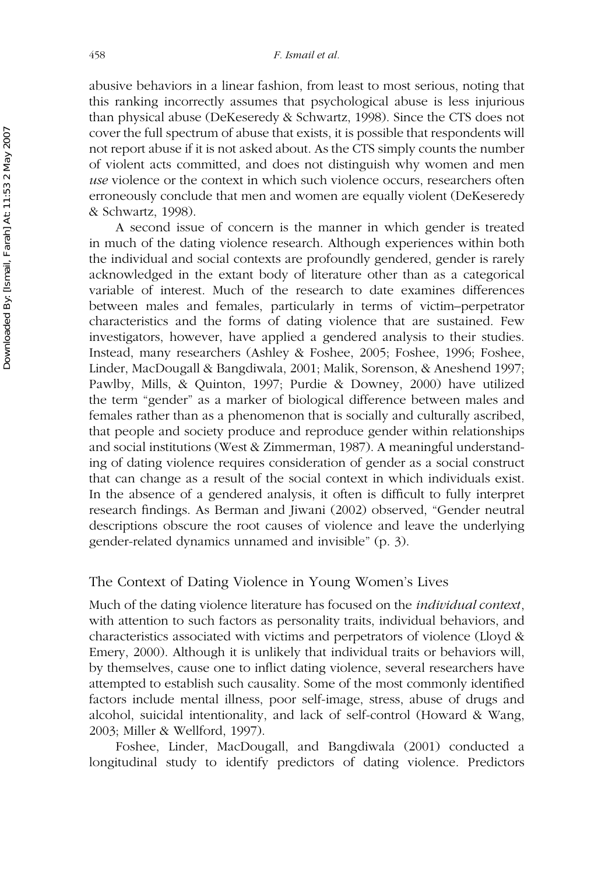abusive behaviors in a linear fashion, from least to most serious, noting that this ranking incorrectly assumes that psychological abuse is less injurious than physical abuse (DeKeseredy & Schwartz, 1998). Since the CTS does not cover the full spectrum of abuse that exists, it is possible that respondents will not report abuse if it is not asked about. As the CTS simply counts the number of violent acts committed, and does not distinguish why women and men *use* violence or the context in which such violence occurs, researchers often erroneously conclude that men and women are equally violent (DeKeseredy & Schwartz, 1998).

A second issue of concern is the manner in which gender is treated in much of the dating violence research. Although experiences within both the individual and social contexts are profoundly gendered, gender is rarely acknowledged in the extant body of literature other than as a categorical variable of interest. Much of the research to date examines differences between males and females, particularly in terms of victim–perpetrator characteristics and the forms of dating violence that are sustained. Few investigators, however, have applied a gendered analysis to their studies. Instead, many researchers (Ashley & Foshee, 2005; Foshee, 1996; Foshee, Linder, MacDougall & Bangdiwala, 2001; Malik, Sorenson, & Aneshend 1997; Pawlby, Mills, & Quinton, 1997; Purdie & Downey, 2000) have utilized the term "gender" as a marker of biological difference between males and females rather than as a phenomenon that is socially and culturally ascribed, that people and society produce and reproduce gender within relationships and social institutions (West & Zimmerman, 1987). A meaningful understanding of dating violence requires consideration of gender as a social construct that can change as a result of the social context in which individuals exist. In the absence of a gendered analysis, it often is difficult to fully interpret research findings. As Berman and Jiwani (2002) observed, "Gender neutral descriptions obscure the root causes of violence and leave the underlying gender-related dynamics unnamed and invisible" (p. 3).

## The Context of Dating Violence in Young Women's Lives

Much of the dating violence literature has focused on the *individual context*, with attention to such factors as personality traits, individual behaviors, and characteristics associated with victims and perpetrators of violence (Lloyd & Emery, 2000). Although it is unlikely that individual traits or behaviors will, by themselves, cause one to inflict dating violence, several researchers have attempted to establish such causality. Some of the most commonly identified factors include mental illness, poor self-image, stress, abuse of drugs and alcohol, suicidal intentionality, and lack of self-control (Howard & Wang, 2003; Miller & Wellford, 1997).

Foshee, Linder, MacDougall, and Bangdiwala (2001) conducted a longitudinal study to identify predictors of dating violence. Predictors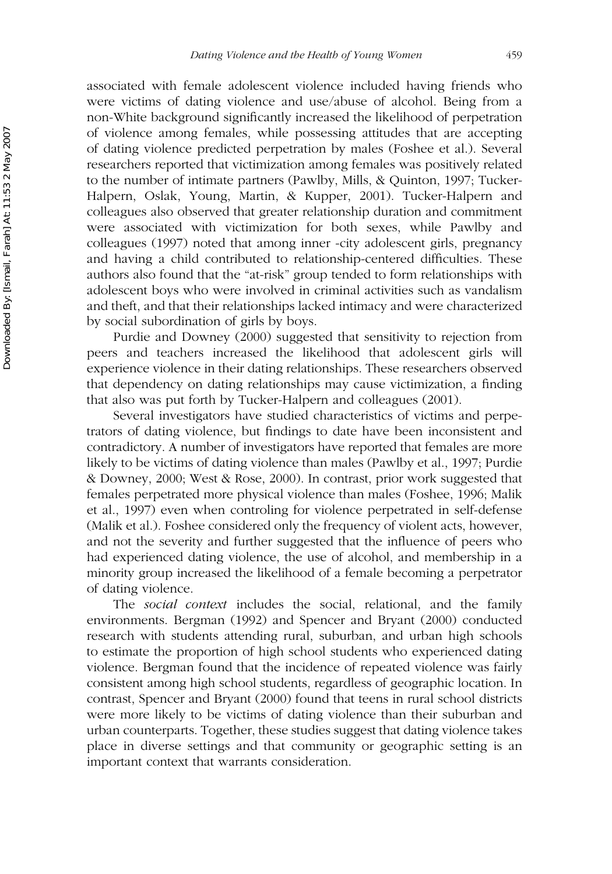associated with female adolescent violence included having friends who were victims of dating violence and use/abuse of alcohol. Being from a non-White background significantly increased the likelihood of perpetration of violence among females, while possessing attitudes that are accepting of dating violence predicted perpetration by males (Foshee et al.). Several researchers reported that victimization among females was positively related to the number of intimate partners (Pawlby, Mills, & Quinton, 1997; Tucker-Halpern, Oslak, Young, Martin, & Kupper, 2001). Tucker-Halpern and colleagues also observed that greater relationship duration and commitment were associated with victimization for both sexes, while Pawlby and colleagues (1997) noted that among inner -city adolescent girls, pregnancy and having a child contributed to relationship-centered difficulties. These authors also found that the "at-risk" group tended to form relationships with adolescent boys who were involved in criminal activities such as vandalism and theft, and that their relationships lacked intimacy and were characterized by social subordination of girls by boys.

Purdie and Downey (2000) suggested that sensitivity to rejection from peers and teachers increased the likelihood that adolescent girls will experience violence in their dating relationships. These researchers observed that dependency on dating relationships may cause victimization, a finding that also was put forth by Tucker-Halpern and colleagues (2001).

Several investigators have studied characteristics of victims and perpetrators of dating violence, but findings to date have been inconsistent and contradictory. A number of investigators have reported that females are more likely to be victims of dating violence than males (Pawlby et al., 1997; Purdie & Downey, 2000; West & Rose, 2000). In contrast, prior work suggested that females perpetrated more physical violence than males (Foshee, 1996; Malik et al., 1997) even when controling for violence perpetrated in self-defense (Malik et al.). Foshee considered only the frequency of violent acts, however, and not the severity and further suggested that the influence of peers who had experienced dating violence, the use of alcohol, and membership in a minority group increased the likelihood of a female becoming a perpetrator of dating violence.

The *social context* includes the social, relational, and the family environments. Bergman (1992) and Spencer and Bryant (2000) conducted research with students attending rural, suburban, and urban high schools to estimate the proportion of high school students who experienced dating violence. Bergman found that the incidence of repeated violence was fairly consistent among high school students, regardless of geographic location. In contrast, Spencer and Bryant (2000) found that teens in rural school districts were more likely to be victims of dating violence than their suburban and urban counterparts. Together, these studies suggest that dating violence takes place in diverse settings and that community or geographic setting is an important context that warrants consideration.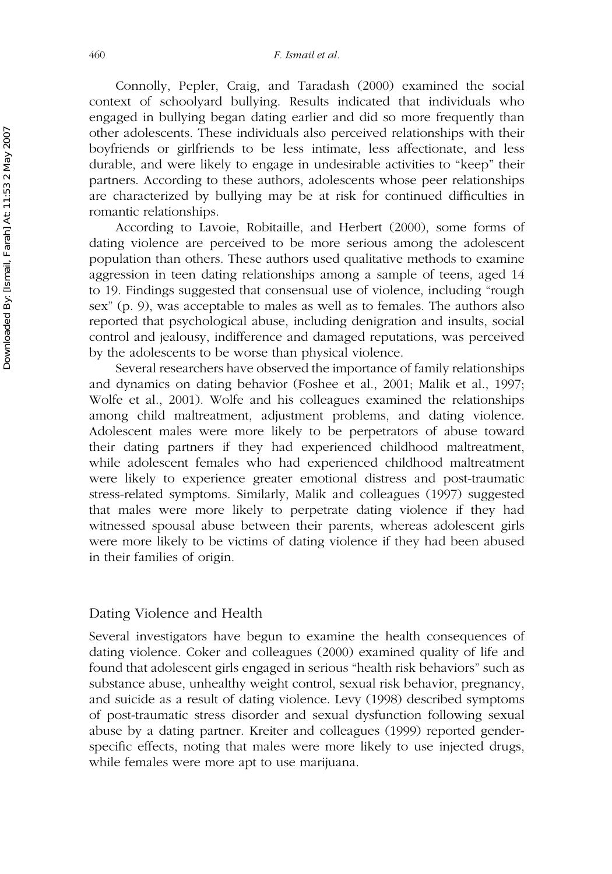Connolly, Pepler, Craig, and Taradash (2000) examined the social context of schoolyard bullying. Results indicated that individuals who engaged in bullying began dating earlier and did so more frequently than other adolescents. These individuals also perceived relationships with their boyfriends or girlfriends to be less intimate, less affectionate, and less durable, and were likely to engage in undesirable activities to "keep" their partners. According to these authors, adolescents whose peer relationships are characterized by bullying may be at risk for continued difficulties in romantic relationships.

According to Lavoie, Robitaille, and Herbert (2000), some forms of dating violence are perceived to be more serious among the adolescent population than others. These authors used qualitative methods to examine aggression in teen dating relationships among a sample of teens, aged 14 to 19. Findings suggested that consensual use of violence, including "rough sex" (p. 9), was acceptable to males as well as to females. The authors also reported that psychological abuse, including denigration and insults, social control and jealousy, indifference and damaged reputations, was perceived by the adolescents to be worse than physical violence.

Several researchers have observed the importance of family relationships and dynamics on dating behavior (Foshee et al., 2001; Malik et al., 1997; Wolfe et al., 2001). Wolfe and his colleagues examined the relationships among child maltreatment, adjustment problems, and dating violence. Adolescent males were more likely to be perpetrators of abuse toward their dating partners if they had experienced childhood maltreatment, while adolescent females who had experienced childhood maltreatment were likely to experience greater emotional distress and post-traumatic stress-related symptoms. Similarly, Malik and colleagues (1997) suggested that males were more likely to perpetrate dating violence if they had witnessed spousal abuse between their parents, whereas adolescent girls were more likely to be victims of dating violence if they had been abused in their families of origin.

## Dating Violence and Health

Several investigators have begun to examine the health consequences of dating violence. Coker and colleagues (2000) examined quality of life and found that adolescent girls engaged in serious "health risk behaviors" such as substance abuse, unhealthy weight control, sexual risk behavior, pregnancy, and suicide as a result of dating violence. Levy (1998) described symptoms of post-traumatic stress disorder and sexual dysfunction following sexual abuse by a dating partner. Kreiter and colleagues (1999) reported genderspecific effects, noting that males were more likely to use injected drugs, while females were more apt to use marijuana.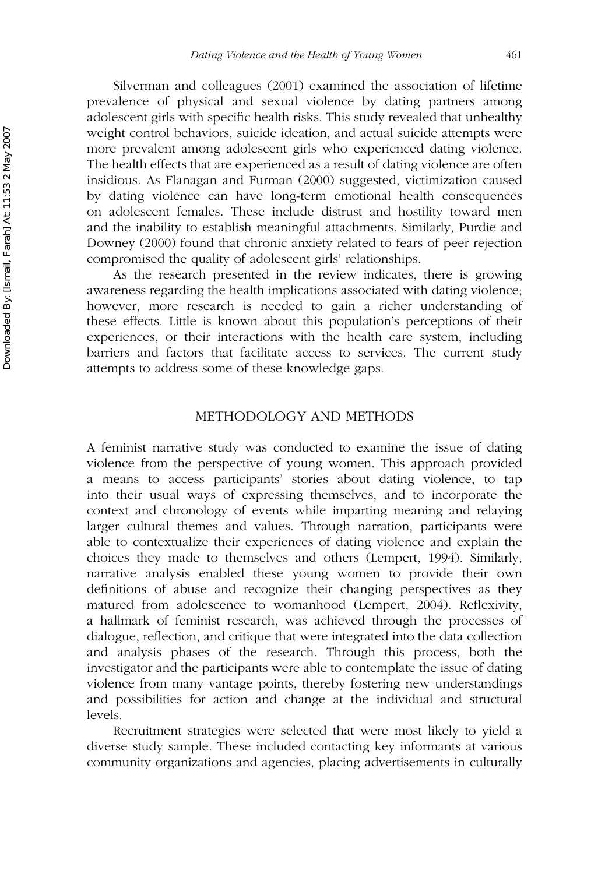Silverman and colleagues (2001) examined the association of lifetime prevalence of physical and sexual violence by dating partners among adolescent girls with specific health risks. This study revealed that unhealthy weight control behaviors, suicide ideation, and actual suicide attempts were more prevalent among adolescent girls who experienced dating violence. The health effects that are experienced as a result of dating violence are often insidious. As Flanagan and Furman (2000) suggested, victimization caused by dating violence can have long-term emotional health consequences on adolescent females. These include distrust and hostility toward men and the inability to establish meaningful attachments. Similarly, Purdie and Downey (2000) found that chronic anxiety related to fears of peer rejection compromised the quality of adolescent girls' relationships.

As the research presented in the review indicates, there is growing awareness regarding the health implications associated with dating violence; however, more research is needed to gain a richer understanding of these effects. Little is known about this population's perceptions of their experiences, or their interactions with the health care system, including barriers and factors that facilitate access to services. The current study attempts to address some of these knowledge gaps.

## METHODOLOGY AND METHODS

A feminist narrative study was conducted to examine the issue of dating violence from the perspective of young women. This approach provided a means to access participants' stories about dating violence, to tap into their usual ways of expressing themselves, and to incorporate the context and chronology of events while imparting meaning and relaying larger cultural themes and values. Through narration, participants were able to contextualize their experiences of dating violence and explain the choices they made to themselves and others (Lempert, 1994). Similarly, narrative analysis enabled these young women to provide their own definitions of abuse and recognize their changing perspectives as they matured from adolescence to womanhood (Lempert, 2004). Reflexivity, a hallmark of feminist research, was achieved through the processes of dialogue, reflection, and critique that were integrated into the data collection and analysis phases of the research. Through this process, both the investigator and the participants were able to contemplate the issue of dating violence from many vantage points, thereby fostering new understandings and possibilities for action and change at the individual and structural levels.

Recruitment strategies were selected that were most likely to yield a diverse study sample. These included contacting key informants at various community organizations and agencies, placing advertisements in culturally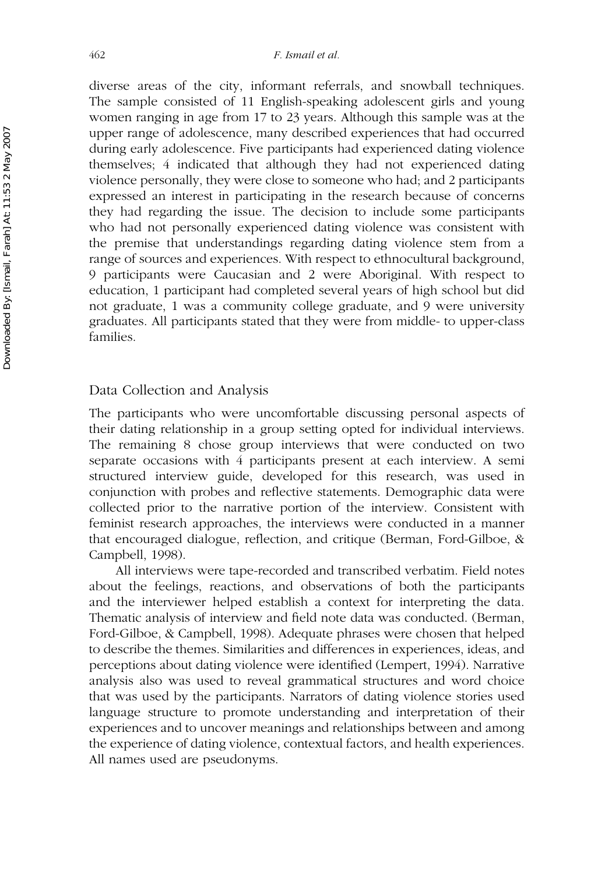diverse areas of the city, informant referrals, and snowball techniques. The sample consisted of 11 English-speaking adolescent girls and young women ranging in age from 17 to 23 years. Although this sample was at the upper range of adolescence, many described experiences that had occurred during early adolescence. Five participants had experienced dating violence themselves; 4 indicated that although they had not experienced dating violence personally, they were close to someone who had; and 2 participants expressed an interest in participating in the research because of concerns they had regarding the issue. The decision to include some participants who had not personally experienced dating violence was consistent with the premise that understandings regarding dating violence stem from a range of sources and experiences. With respect to ethnocultural background, 9 participants were Caucasian and 2 were Aboriginal. With respect to education, 1 participant had completed several years of high school but did not graduate, 1 was a community college graduate, and 9 were university graduates. All participants stated that they were from middle- to upper-class families.

#### Data Collection and Analysis

The participants who were uncomfortable discussing personal aspects of their dating relationship in a group setting opted for individual interviews. The remaining 8 chose group interviews that were conducted on two separate occasions with 4 participants present at each interview. A semi structured interview guide, developed for this research, was used in conjunction with probes and reflective statements. Demographic data were collected prior to the narrative portion of the interview. Consistent with feminist research approaches, the interviews were conducted in a manner that encouraged dialogue, reflection, and critique (Berman, Ford-Gilboe, & Campbell, 1998).

All interviews were tape-recorded and transcribed verbatim. Field notes about the feelings, reactions, and observations of both the participants and the interviewer helped establish a context for interpreting the data. Thematic analysis of interview and field note data was conducted. (Berman, Ford-Gilboe, & Campbell, 1998). Adequate phrases were chosen that helped to describe the themes. Similarities and differences in experiences, ideas, and perceptions about dating violence were identified (Lempert, 1994). Narrative analysis also was used to reveal grammatical structures and word choice that was used by the participants. Narrators of dating violence stories used language structure to promote understanding and interpretation of their experiences and to uncover meanings and relationships between and among the experience of dating violence, contextual factors, and health experiences. All names used are pseudonyms.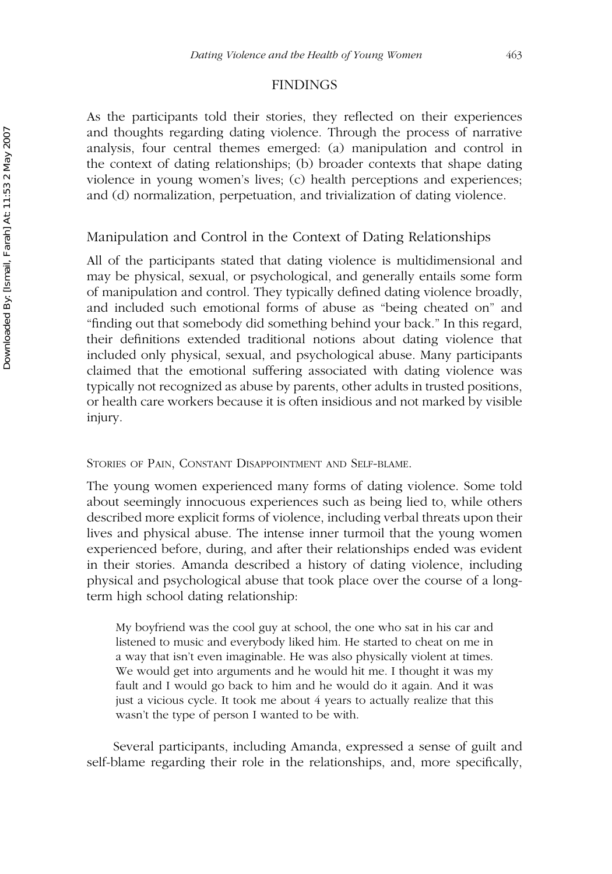### FINDINGS

As the participants told their stories, they reflected on their experiences and thoughts regarding dating violence. Through the process of narrative analysis, four central themes emerged: (a) manipulation and control in the context of dating relationships; (b) broader contexts that shape dating violence in young women's lives; (c) health perceptions and experiences; and (d) normalization, perpetuation, and trivialization of dating violence.

## Manipulation and Control in the Context of Dating Relationships

All of the participants stated that dating violence is multidimensional and may be physical, sexual, or psychological, and generally entails some form of manipulation and control. They typically defined dating violence broadly, and included such emotional forms of abuse as "being cheated on" and "finding out that somebody did something behind your back." In this regard, their definitions extended traditional notions about dating violence that included only physical, sexual, and psychological abuse. Many participants claimed that the emotional suffering associated with dating violence was typically not recognized as abuse by parents, other adults in trusted positions, or health care workers because it is often insidious and not marked by visible injury.

STORIES OF PAIN, CONSTANT DISAPPOINTMENT AND SELF-BLAME.

The young women experienced many forms of dating violence. Some told about seemingly innocuous experiences such as being lied to, while others described more explicit forms of violence, including verbal threats upon their lives and physical abuse. The intense inner turmoil that the young women experienced before, during, and after their relationships ended was evident in their stories. Amanda described a history of dating violence, including physical and psychological abuse that took place over the course of a longterm high school dating relationship:

My boyfriend was the cool guy at school, the one who sat in his car and listened to music and everybody liked him. He started to cheat on me in a way that isn't even imaginable. He was also physically violent at times. We would get into arguments and he would hit me. I thought it was my fault and I would go back to him and he would do it again. And it was just a vicious cycle. It took me about 4 years to actually realize that this wasn't the type of person I wanted to be with.

Several participants, including Amanda, expressed a sense of guilt and self-blame regarding their role in the relationships, and, more specifically,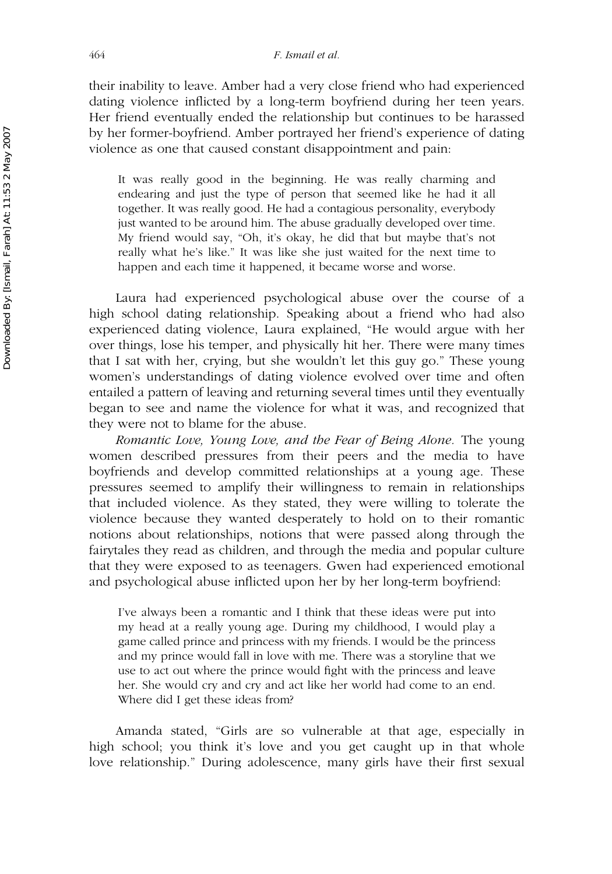their inability to leave. Amber had a very close friend who had experienced dating violence inflicted by a long-term boyfriend during her teen years. Her friend eventually ended the relationship but continues to be harassed by her former-boyfriend. Amber portrayed her friend's experience of dating violence as one that caused constant disappointment and pain:

It was really good in the beginning. He was really charming and endearing and just the type of person that seemed like he had it all together. It was really good. He had a contagious personality, everybody just wanted to be around him. The abuse gradually developed over time. My friend would say, "Oh, it's okay, he did that but maybe that's not really what he's like." It was like she just waited for the next time to happen and each time it happened, it became worse and worse.

Laura had experienced psychological abuse over the course of a high school dating relationship. Speaking about a friend who had also experienced dating violence, Laura explained, "He would argue with her over things, lose his temper, and physically hit her. There were many times that I sat with her, crying, but she wouldn't let this guy go." These young women's understandings of dating violence evolved over time and often entailed a pattern of leaving and returning several times until they eventually began to see and name the violence for what it was, and recognized that they were not to blame for the abuse.

*Romantic Love, Young Love, and the Fear of Being Alone.* The young women described pressures from their peers and the media to have boyfriends and develop committed relationships at a young age. These pressures seemed to amplify their willingness to remain in relationships that included violence. As they stated, they were willing to tolerate the violence because they wanted desperately to hold on to their romantic notions about relationships, notions that were passed along through the fairytales they read as children, and through the media and popular culture that they were exposed to as teenagers. Gwen had experienced emotional and psychological abuse inflicted upon her by her long-term boyfriend:

I've always been a romantic and I think that these ideas were put into my head at a really young age. During my childhood, I would play a game called prince and princess with my friends. I would be the princess and my prince would fall in love with me. There was a storyline that we use to act out where the prince would fight with the princess and leave her. She would cry and cry and act like her world had come to an end. Where did I get these ideas from?

Amanda stated, "Girls are so vulnerable at that age, especially in high school; you think it's love and you get caught up in that whole love relationship." During adolescence, many girls have their first sexual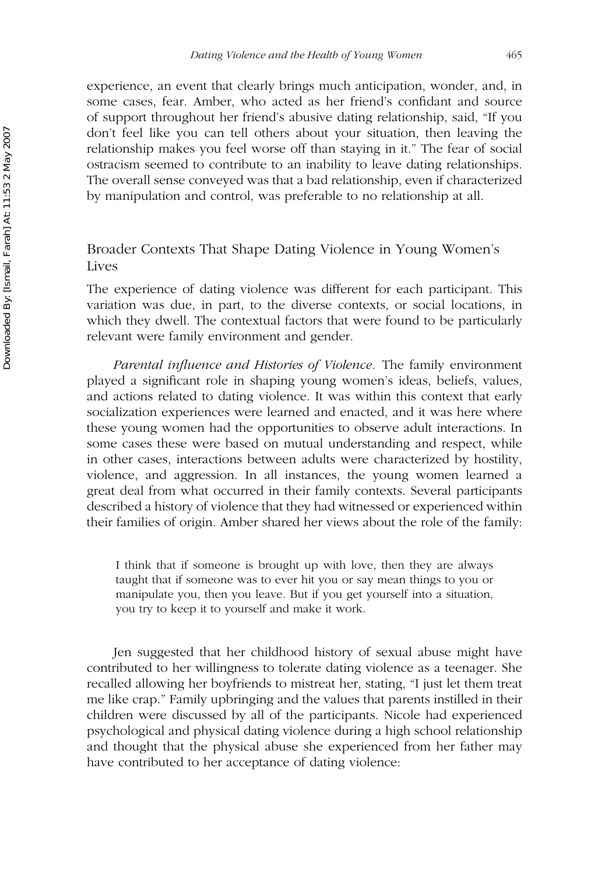experience, an event that clearly brings much anticipation, wonder, and, in some cases, fear. Amber, who acted as her friend's confidant and source of support throughout her friend's abusive dating relationship, said, "If you don't feel like you can tell others about your situation, then leaving the relationship makes you feel worse off than staying in it." The fear of social ostracism seemed to contribute to an inability to leave dating relationships. The overall sense conveyed was that a bad relationship, even if characterized by manipulation and control, was preferable to no relationship at all.

## Broader Contexts That Shape Dating Violence in Young Women's Lives

The experience of dating violence was different for each participant. This variation was due, in part, to the diverse contexts, or social locations, in which they dwell. The contextual factors that were found to be particularly relevant were family environment and gender.

*Parental influence and Histories of Violence.* The family environment played a significant role in shaping young women's ideas, beliefs, values, and actions related to dating violence. It was within this context that early socialization experiences were learned and enacted, and it was here where these young women had the opportunities to observe adult interactions. In some cases these were based on mutual understanding and respect, while in other cases, interactions between adults were characterized by hostility, violence, and aggression. In all instances, the young women learned a great deal from what occurred in their family contexts. Several participants described a history of violence that they had witnessed or experienced within their families of origin. Amber shared her views about the role of the family:

I think that if someone is brought up with love, then they are always taught that if someone was to ever hit you or say mean things to you or manipulate you, then you leave. But if you get yourself into a situation, you try to keep it to yourself and make it work.

Jen suggested that her childhood history of sexual abuse might have contributed to her willingness to tolerate dating violence as a teenager. She recalled allowing her boyfriends to mistreat her, stating, "I just let them treat me like crap." Family upbringing and the values that parents instilled in their children were discussed by all of the participants. Nicole had experienced psychological and physical dating violence during a high school relationship and thought that the physical abuse she experienced from her father may have contributed to her acceptance of dating violence: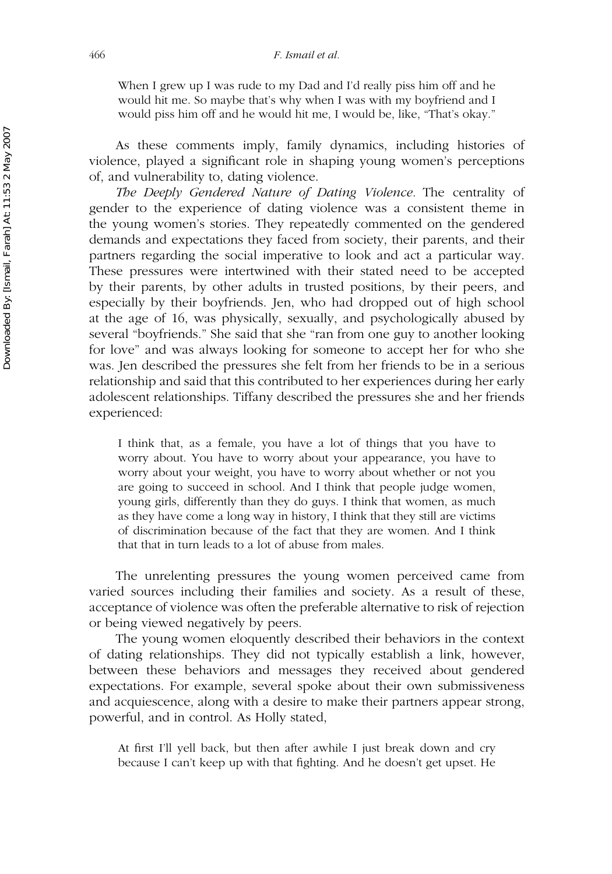When I grew up I was rude to my Dad and I'd really piss him off and he would hit me. So maybe that's why when I was with my boyfriend and I would piss him off and he would hit me, I would be, like, "That's okay."

As these comments imply, family dynamics, including histories of violence, played a significant role in shaping young women's perceptions of, and vulnerability to, dating violence.

*The Deeply Gendered Nature of Dating Violence.* The centrality of gender to the experience of dating violence was a consistent theme in the young women's stories. They repeatedly commented on the gendered demands and expectations they faced from society, their parents, and their partners regarding the social imperative to look and act a particular way. These pressures were intertwined with their stated need to be accepted by their parents, by other adults in trusted positions, by their peers, and especially by their boyfriends. Jen, who had dropped out of high school at the age of 16, was physically, sexually, and psychologically abused by several "boyfriends." She said that she "ran from one guy to another looking for love" and was always looking for someone to accept her for who she was. Jen described the pressures she felt from her friends to be in a serious relationship and said that this contributed to her experiences during her early adolescent relationships. Tiffany described the pressures she and her friends experienced:

I think that, as a female, you have a lot of things that you have to worry about. You have to worry about your appearance, you have to worry about your weight, you have to worry about whether or not you are going to succeed in school. And I think that people judge women, young girls, differently than they do guys. I think that women, as much as they have come a long way in history, I think that they still are victims of discrimination because of the fact that they are women. And I think that that in turn leads to a lot of abuse from males.

The unrelenting pressures the young women perceived came from varied sources including their families and society. As a result of these, acceptance of violence was often the preferable alternative to risk of rejection or being viewed negatively by peers.

The young women eloquently described their behaviors in the context of dating relationships. They did not typically establish a link, however, between these behaviors and messages they received about gendered expectations. For example, several spoke about their own submissiveness and acquiescence, along with a desire to make their partners appear strong, powerful, and in control. As Holly stated,

At first I'll yell back, but then after awhile I just break down and cry because I can't keep up with that fighting. And he doesn't get upset. He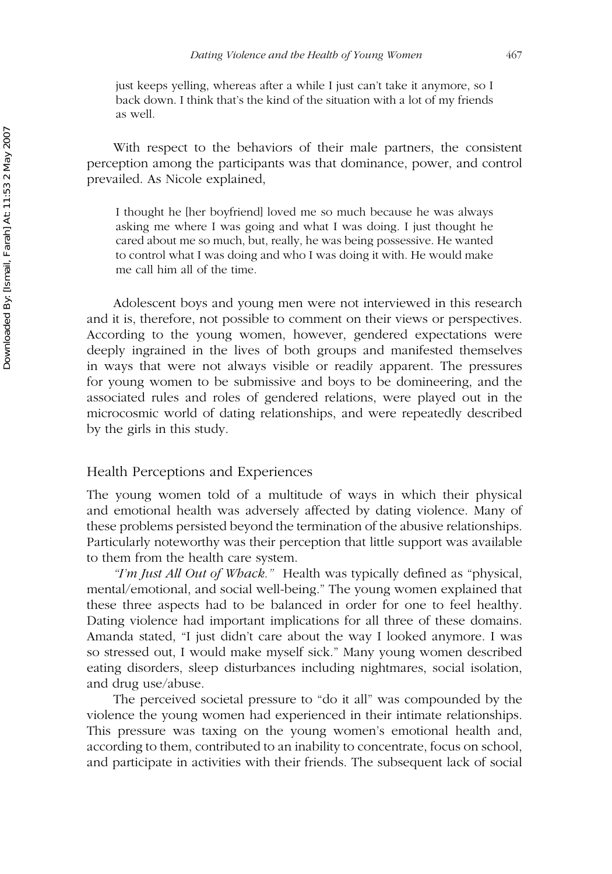just keeps yelling, whereas after a while I just can't take it anymore, so I back down. I think that's the kind of the situation with a lot of my friends as well.

With respect to the behaviors of their male partners, the consistent perception among the participants was that dominance, power, and control prevailed. As Nicole explained,

I thought he [her boyfriend] loved me so much because he was always asking me where I was going and what I was doing. I just thought he cared about me so much, but, really, he was being possessive. He wanted to control what I was doing and who I was doing it with. He would make me call him all of the time.

Adolescent boys and young men were not interviewed in this research and it is, therefore, not possible to comment on their views or perspectives. According to the young women, however, gendered expectations were deeply ingrained in the lives of both groups and manifested themselves in ways that were not always visible or readily apparent. The pressures for young women to be submissive and boys to be domineering, and the associated rules and roles of gendered relations, were played out in the microcosmic world of dating relationships, and were repeatedly described by the girls in this study.

#### Health Perceptions and Experiences

The young women told of a multitude of ways in which their physical and emotional health was adversely affected by dating violence. Many of these problems persisted beyond the termination of the abusive relationships. Particularly noteworthy was their perception that little support was available to them from the health care system.

*"I'm Just All Out of Whack."* Health was typically defined as "physical, mental/emotional, and social well-being." The young women explained that these three aspects had to be balanced in order for one to feel healthy. Dating violence had important implications for all three of these domains. Amanda stated, "I just didn't care about the way I looked anymore. I was so stressed out, I would make myself sick." Many young women described eating disorders, sleep disturbances including nightmares, social isolation, and drug use/abuse.

The perceived societal pressure to "do it all" was compounded by the violence the young women had experienced in their intimate relationships. This pressure was taxing on the young women's emotional health and, according to them, contributed to an inability to concentrate, focus on school, and participate in activities with their friends. The subsequent lack of social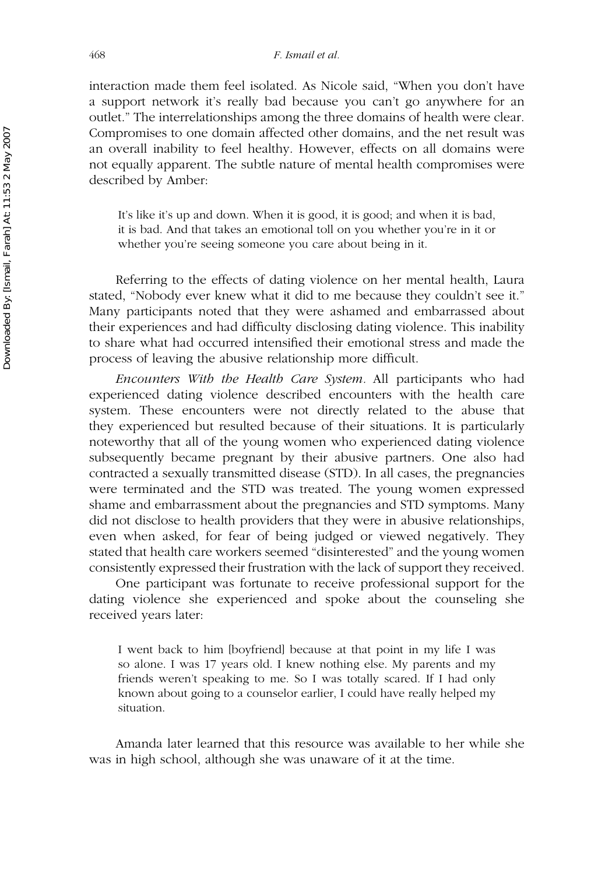interaction made them feel isolated. As Nicole said, "When you don't have a support network it's really bad because you can't go anywhere for an outlet." The interrelationships among the three domains of health were clear. Compromises to one domain affected other domains, and the net result was an overall inability to feel healthy. However, effects on all domains were not equally apparent. The subtle nature of mental health compromises were described by Amber:

It's like it's up and down. When it is good, it is good; and when it is bad, it is bad. And that takes an emotional toll on you whether you're in it or whether you're seeing someone you care about being in it.

Referring to the effects of dating violence on her mental health, Laura stated, "Nobody ever knew what it did to me because they couldn't see it." Many participants noted that they were ashamed and embarrassed about their experiences and had difficulty disclosing dating violence. This inability to share what had occurred intensified their emotional stress and made the process of leaving the abusive relationship more difficult.

*Encounters With the Health Care System.* All participants who had experienced dating violence described encounters with the health care system. These encounters were not directly related to the abuse that they experienced but resulted because of their situations. It is particularly noteworthy that all of the young women who experienced dating violence subsequently became pregnant by their abusive partners. One also had contracted a sexually transmitted disease (STD). In all cases, the pregnancies were terminated and the STD was treated. The young women expressed shame and embarrassment about the pregnancies and STD symptoms. Many did not disclose to health providers that they were in abusive relationships, even when asked, for fear of being judged or viewed negatively. They stated that health care workers seemed "disinterested" and the young women consistently expressed their frustration with the lack of support they received.

One participant was fortunate to receive professional support for the dating violence she experienced and spoke about the counseling she received years later:

I went back to him [boyfriend] because at that point in my life I was so alone. I was 17 years old. I knew nothing else. My parents and my friends weren't speaking to me. So I was totally scared. If I had only known about going to a counselor earlier, I could have really helped my situation.

Amanda later learned that this resource was available to her while she was in high school, although she was unaware of it at the time.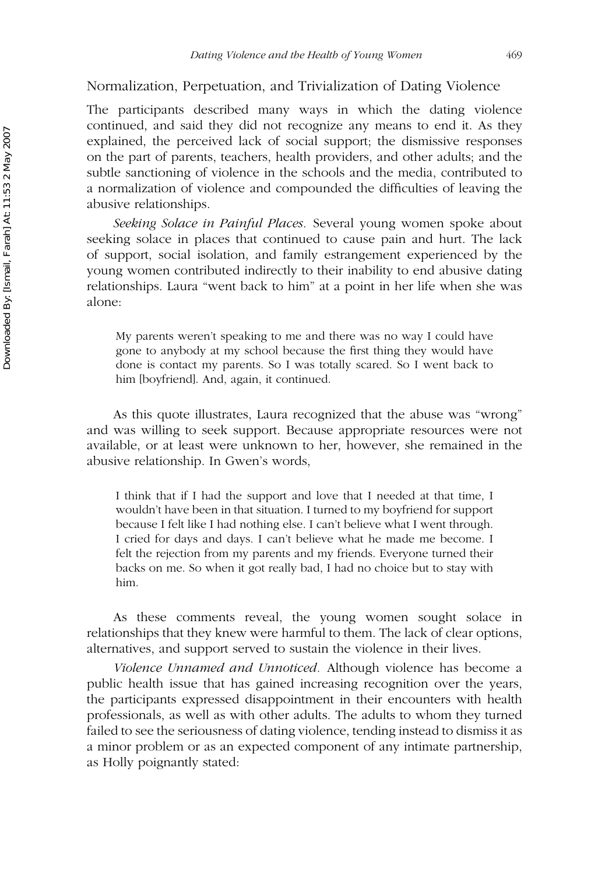#### Normalization, Perpetuation, and Trivialization of Dating Violence

The participants described many ways in which the dating violence continued, and said they did not recognize any means to end it. As they explained, the perceived lack of social support; the dismissive responses on the part of parents, teachers, health providers, and other adults; and the subtle sanctioning of violence in the schools and the media, contributed to a normalization of violence and compounded the difficulties of leaving the abusive relationships.

*Seeking Solace in Painful Places.* Several young women spoke about seeking solace in places that continued to cause pain and hurt. The lack of support, social isolation, and family estrangement experienced by the young women contributed indirectly to their inability to end abusive dating relationships. Laura "went back to him" at a point in her life when she was alone:

My parents weren't speaking to me and there was no way I could have gone to anybody at my school because the first thing they would have done is contact my parents. So I was totally scared. So I went back to him [boyfriend]. And, again, it continued.

As this quote illustrates, Laura recognized that the abuse was "wrong" and was willing to seek support. Because appropriate resources were not available, or at least were unknown to her, however, she remained in the abusive relationship. In Gwen's words,

I think that if I had the support and love that I needed at that time, I wouldn't have been in that situation. I turned to my boyfriend for support because I felt like I had nothing else. I can't believe what I went through. I cried for days and days. I can't believe what he made me become. I felt the rejection from my parents and my friends. Everyone turned their backs on me. So when it got really bad, I had no choice but to stay with him.

As these comments reveal, the young women sought solace in relationships that they knew were harmful to them. The lack of clear options, alternatives, and support served to sustain the violence in their lives.

*Violence Unnamed and Unnoticed.* Although violence has become a public health issue that has gained increasing recognition over the years, the participants expressed disappointment in their encounters with health professionals, as well as with other adults. The adults to whom they turned failed to see the seriousness of dating violence, tending instead to dismiss it as a minor problem or as an expected component of any intimate partnership, as Holly poignantly stated: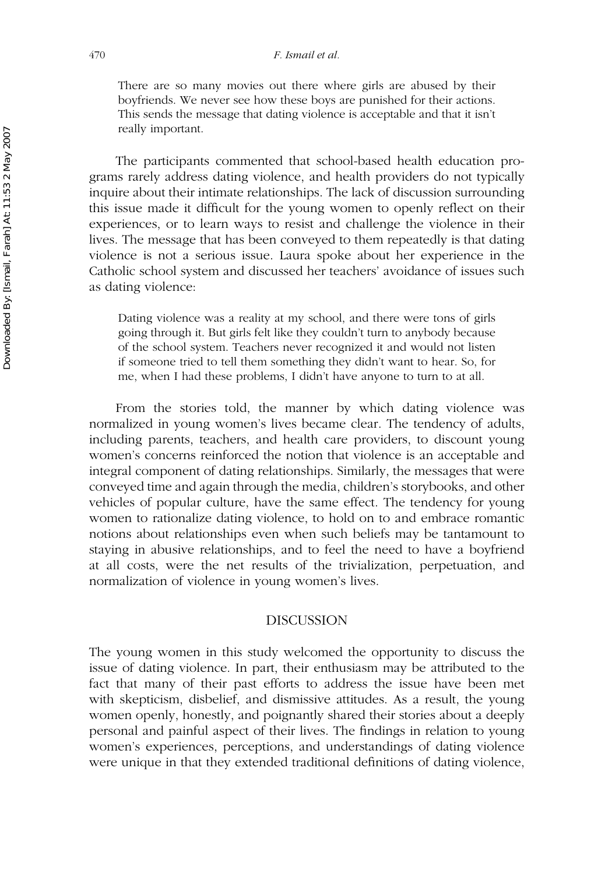There are so many movies out there where girls are abused by their boyfriends. We never see how these boys are punished for their actions. This sends the message that dating violence is acceptable and that it isn't really important.

The participants commented that school-based health education programs rarely address dating violence, and health providers do not typically inquire about their intimate relationships. The lack of discussion surrounding this issue made it difficult for the young women to openly reflect on their experiences, or to learn ways to resist and challenge the violence in their lives. The message that has been conveyed to them repeatedly is that dating violence is not a serious issue. Laura spoke about her experience in the Catholic school system and discussed her teachers' avoidance of issues such as dating violence:

Dating violence was a reality at my school, and there were tons of girls going through it. But girls felt like they couldn't turn to anybody because of the school system. Teachers never recognized it and would not listen if someone tried to tell them something they didn't want to hear. So, for me, when I had these problems, I didn't have anyone to turn to at all.

From the stories told, the manner by which dating violence was normalized in young women's lives became clear. The tendency of adults, including parents, teachers, and health care providers, to discount young women's concerns reinforced the notion that violence is an acceptable and integral component of dating relationships. Similarly, the messages that were conveyed time and again through the media, children's storybooks, and other vehicles of popular culture, have the same effect. The tendency for young women to rationalize dating violence, to hold on to and embrace romantic notions about relationships even when such beliefs may be tantamount to staying in abusive relationships, and to feel the need to have a boyfriend at all costs, were the net results of the trivialization, perpetuation, and normalization of violence in young women's lives.

## DISCUSSION

The young women in this study welcomed the opportunity to discuss the issue of dating violence. In part, their enthusiasm may be attributed to the fact that many of their past efforts to address the issue have been met with skepticism, disbelief, and dismissive attitudes. As a result, the young women openly, honestly, and poignantly shared their stories about a deeply personal and painful aspect of their lives. The findings in relation to young women's experiences, perceptions, and understandings of dating violence were unique in that they extended traditional definitions of dating violence,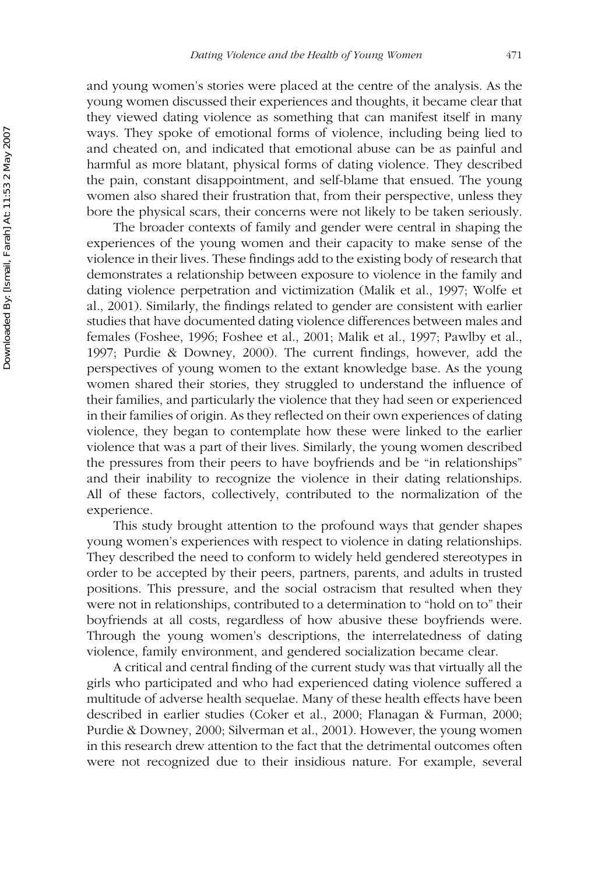and young women's stories were placed at the centre of the analysis. As the young women discussed their experiences and thoughts, it became clear that they viewed dating violence as something that can manifest itself in many ways. They spoke of emotional forms of violence, including being lied to and cheated on, and indicated that emotional abuse can be as painful and harmful as more blatant, physical forms of dating violence. They described the pain, constant disappointment, and self-blame that ensued. The young women also shared their frustration that, from their perspective, unless they bore the physical scars, their concerns were not likely to be taken seriously.

The broader contexts of family and gender were central in shaping the experiences of the young women and their capacity to make sense of the violence in their lives. These findings add to the existing body of research that demonstrates a relationship between exposure to violence in the family and dating violence perpetration and victimization (Malik et al., 1997; Wolfe et al., 2001). Similarly, the findings related to gender are consistent with earlier studies that have documented dating violence differences between males and females (Foshee, 1996; Foshee et al., 2001; Malik et al., 1997; Pawlby et al., 1997; Purdie & Downey, 2000). The current findings, however, add the perspectives of young women to the extant knowledge base. As the young women shared their stories, they struggled to understand the influence of their families, and particularly the violence that they had seen or experienced in their families of origin. As they reflected on their own experiences of dating violence, they began to contemplate how these were linked to the earlier violence that was a part of their lives. Similarly, the young women described the pressures from their peers to have boyfriends and be "in relationships" and their inability to recognize the violence in their dating relationships. All of these factors, collectively, contributed to the normalization of the experience.

This study brought attention to the profound ways that gender shapes young women's experiences with respect to violence in dating relationships. They described the need to conform to widely held gendered stereotypes in order to be accepted by their peers, partners, parents, and adults in trusted positions. This pressure, and the social ostracism that resulted when they were not in relationships, contributed to a determination to "hold on to" their boyfriends at all costs, regardless of how abusive these boyfriends were. Through the young women's descriptions, the interrelatedness of dating violence, family environment, and gendered socialization became clear.

A critical and central finding of the current study was that virtually all the girls who participated and who had experienced dating violence suffered a multitude of adverse health sequelae. Many of these health effects have been described in earlier studies (Coker et al., 2000; Flanagan & Furman, 2000; Purdie & Downey, 2000; Silverman et al., 2001). However, the young women in this research drew attention to the fact that the detrimental outcomes often were not recognized due to their insidious nature. For example, several

Downloaded By: [Ismail, Farah] At: 11:53 2 May 2007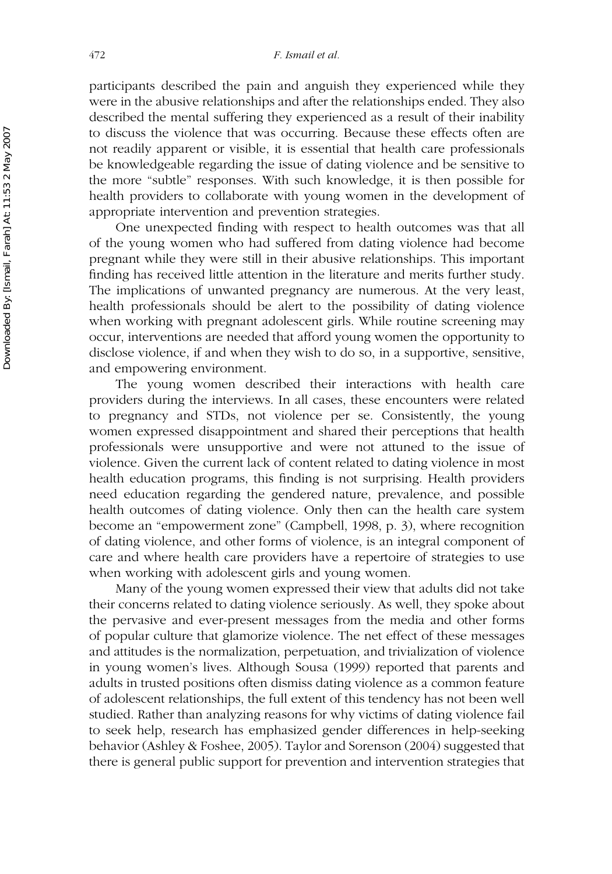participants described the pain and anguish they experienced while they were in the abusive relationships and after the relationships ended. They also described the mental suffering they experienced as a result of their inability to discuss the violence that was occurring. Because these effects often are not readily apparent or visible, it is essential that health care professionals be knowledgeable regarding the issue of dating violence and be sensitive to the more "subtle" responses. With such knowledge, it is then possible for health providers to collaborate with young women in the development of appropriate intervention and prevention strategies.

One unexpected finding with respect to health outcomes was that all of the young women who had suffered from dating violence had become pregnant while they were still in their abusive relationships. This important finding has received little attention in the literature and merits further study. The implications of unwanted pregnancy are numerous. At the very least, health professionals should be alert to the possibility of dating violence when working with pregnant adolescent girls. While routine screening may occur, interventions are needed that afford young women the opportunity to disclose violence, if and when they wish to do so, in a supportive, sensitive, and empowering environment.

The young women described their interactions with health care providers during the interviews. In all cases, these encounters were related to pregnancy and STDs, not violence per se. Consistently, the young women expressed disappointment and shared their perceptions that health professionals were unsupportive and were not attuned to the issue of violence. Given the current lack of content related to dating violence in most health education programs, this finding is not surprising. Health providers need education regarding the gendered nature, prevalence, and possible health outcomes of dating violence. Only then can the health care system become an "empowerment zone" (Campbell, 1998, p. 3), where recognition of dating violence, and other forms of violence, is an integral component of care and where health care providers have a repertoire of strategies to use when working with adolescent girls and young women.

Many of the young women expressed their view that adults did not take their concerns related to dating violence seriously. As well, they spoke about the pervasive and ever-present messages from the media and other forms of popular culture that glamorize violence. The net effect of these messages and attitudes is the normalization, perpetuation, and trivialization of violence in young women's lives. Although Sousa (1999) reported that parents and adults in trusted positions often dismiss dating violence as a common feature of adolescent relationships, the full extent of this tendency has not been well studied. Rather than analyzing reasons for why victims of dating violence fail to seek help, research has emphasized gender differences in help-seeking behavior (Ashley & Foshee, 2005). Taylor and Sorenson (2004) suggested that there is general public support for prevention and intervention strategies that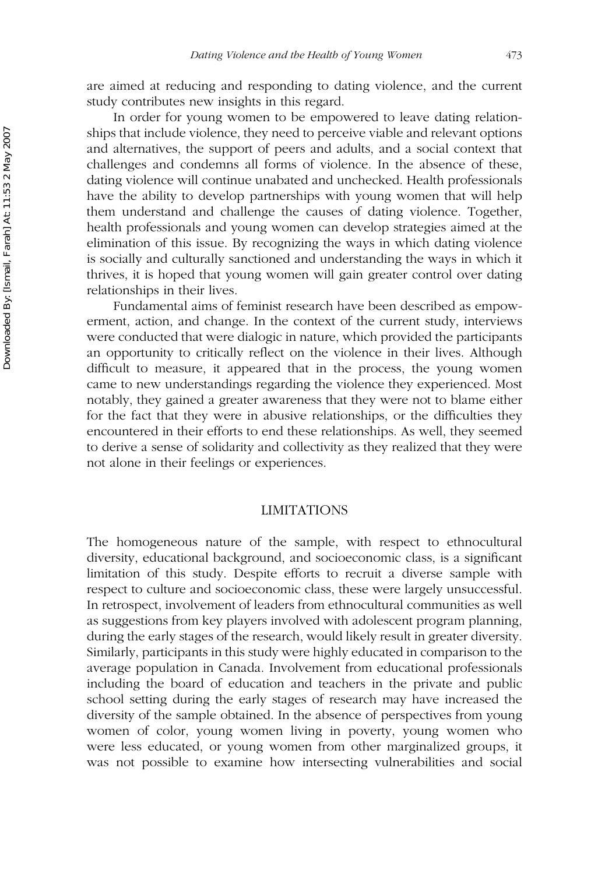are aimed at reducing and responding to dating violence, and the current study contributes new insights in this regard.

In order for young women to be empowered to leave dating relationships that include violence, they need to perceive viable and relevant options and alternatives, the support of peers and adults, and a social context that challenges and condemns all forms of violence. In the absence of these, dating violence will continue unabated and unchecked. Health professionals have the ability to develop partnerships with young women that will help them understand and challenge the causes of dating violence. Together, health professionals and young women can develop strategies aimed at the elimination of this issue. By recognizing the ways in which dating violence is socially and culturally sanctioned and understanding the ways in which it thrives, it is hoped that young women will gain greater control over dating relationships in their lives.

Fundamental aims of feminist research have been described as empowerment, action, and change. In the context of the current study, interviews were conducted that were dialogic in nature, which provided the participants an opportunity to critically reflect on the violence in their lives. Although difficult to measure, it appeared that in the process, the young women came to new understandings regarding the violence they experienced. Most notably, they gained a greater awareness that they were not to blame either for the fact that they were in abusive relationships, or the difficulties they encountered in their efforts to end these relationships. As well, they seemed to derive a sense of solidarity and collectivity as they realized that they were not alone in their feelings or experiences.

#### LIMITATIONS

The homogeneous nature of the sample, with respect to ethnocultural diversity, educational background, and socioeconomic class, is a significant limitation of this study. Despite efforts to recruit a diverse sample with respect to culture and socioeconomic class, these were largely unsuccessful. In retrospect, involvement of leaders from ethnocultural communities as well as suggestions from key players involved with adolescent program planning, during the early stages of the research, would likely result in greater diversity. Similarly, participants in this study were highly educated in comparison to the average population in Canada. Involvement from educational professionals including the board of education and teachers in the private and public school setting during the early stages of research may have increased the diversity of the sample obtained. In the absence of perspectives from young women of color, young women living in poverty, young women who were less educated, or young women from other marginalized groups, it was not possible to examine how intersecting vulnerabilities and social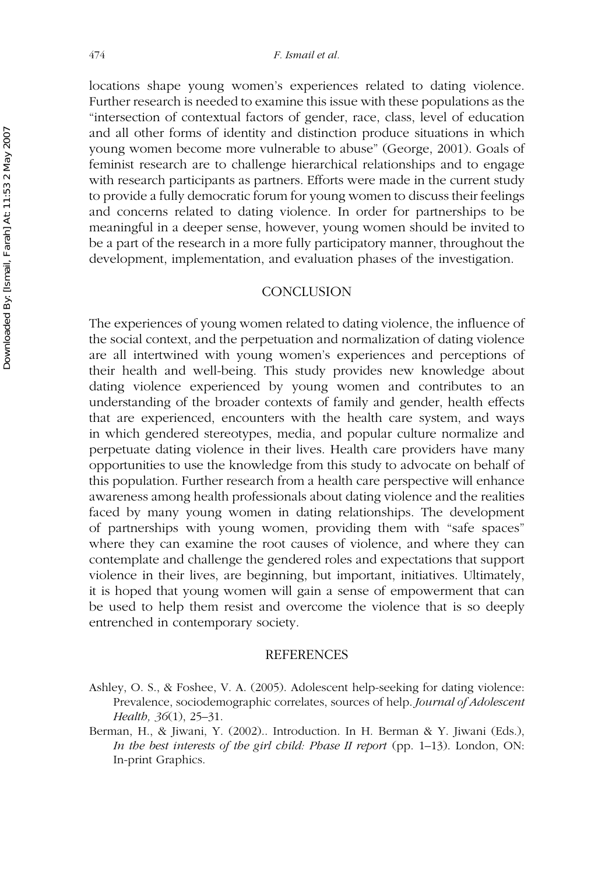locations shape young women's experiences related to dating violence. Further research is needed to examine this issue with these populations as the "intersection of contextual factors of gender, race, class, level of education and all other forms of identity and distinction produce situations in which young women become more vulnerable to abuse" (George, 2001). Goals of feminist research are to challenge hierarchical relationships and to engage with research participants as partners. Efforts were made in the current study to provide a fully democratic forum for young women to discuss their feelings and concerns related to dating violence. In order for partnerships to be meaningful in a deeper sense, however, young women should be invited to be a part of the research in a more fully participatory manner, throughout the development, implementation, and evaluation phases of the investigation.

## **CONCLUSION**

The experiences of young women related to dating violence, the influence of the social context, and the perpetuation and normalization of dating violence are all intertwined with young women's experiences and perceptions of their health and well-being. This study provides new knowledge about dating violence experienced by young women and contributes to an understanding of the broader contexts of family and gender, health effects that are experienced, encounters with the health care system, and ways in which gendered stereotypes, media, and popular culture normalize and perpetuate dating violence in their lives. Health care providers have many opportunities to use the knowledge from this study to advocate on behalf of this population. Further research from a health care perspective will enhance awareness among health professionals about dating violence and the realities faced by many young women in dating relationships. The development of partnerships with young women, providing them with "safe spaces" where they can examine the root causes of violence, and where they can contemplate and challenge the gendered roles and expectations that support violence in their lives, are beginning, but important, initiatives. Ultimately, it is hoped that young women will gain a sense of empowerment that can be used to help them resist and overcome the violence that is so deeply entrenched in contemporary society.

#### REFERENCES

- Ashley, O. S., & Foshee, V. A. (2005). Adolescent help-seeking for dating violence: Prevalence, sociodemographic correlates, sources of help. *Journal of Adolescent Health, 36*(1), 25–31.
- Berman, H., & Jiwani, Y. (2002).. Introduction. In H. Berman & Y. Jiwani (Eds.), *In the best interests of the girl child: Phase II report* (pp. 1–13). London, ON: In-print Graphics.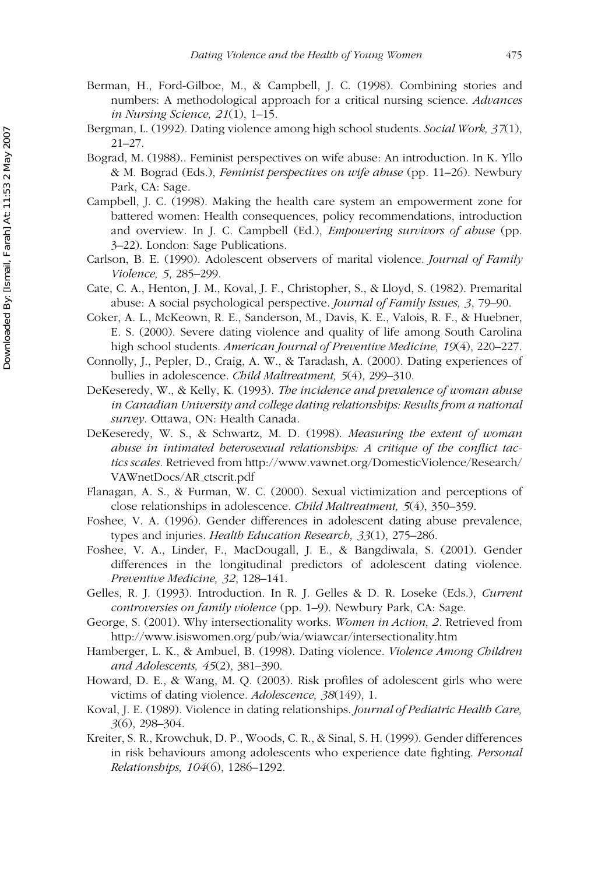- Berman, H., Ford-Gilboe, M., & Campbell, J. C. (1998). Combining stories and numbers: A methodological approach for a critical nursing science. *Advances in Nursing Science, 21*(1), 1–15.
- Bergman, L. (1992). Dating violence among high school students. *Social Work, 37*(1), 21–27.
- Bograd, M. (1988).. Feminist perspectives on wife abuse: An introduction. In K. Yllo & M. Bograd (Eds.), *Feminist perspectives on wife abuse* (pp. 11–26). Newbury Park, CA: Sage.
- Campbell, J. C. (1998). Making the health care system an empowerment zone for battered women: Health consequences, policy recommendations, introduction and overview. In J. C. Campbell (Ed.), *Empowering survivors of abuse* (pp. 3–22). London: Sage Publications.
- Carlson, B. E. (1990). Adolescent observers of marital violence. *Journal of Family Violence, 5*, 285–299.
- Cate, C. A., Henton, J. M., Koval, J. F., Christopher, S., & Lloyd, S. (1982). Premarital abuse: A social psychological perspective. *Journal of Family Issues, 3*, 79–90.
- Coker, A. L., McKeown, R. E., Sanderson, M., Davis, K. E., Valois, R. F., & Huebner, E. S. (2000). Severe dating violence and quality of life among South Carolina high school students. *American Journal of Preventive Medicine, 19*(4), 220–227.
- Connolly, J., Pepler, D., Craig, A. W., & Taradash, A. (2000). Dating experiences of bullies in adolescence. *Child Maltreatment, 5*(4), 299–310.
- DeKeseredy, W., & Kelly, K. (1993). *The incidence and prevalence of woman abuse in Canadian University and college dating relationships: Results from a national survey.* Ottawa, ON: Health Canada.
- DeKeseredy, W. S., & Schwartz, M. D. (1998). *Measuring the extent of woman abuse in intimated heterosexual relationships: A critique of the conflict tactics scales.* Retrieved from http://www.vawnet.org/DomesticViolence/Research/ VAWnetDocs/AR ctscrit.pdf
- Flanagan, A. S., & Furman, W. C. (2000). Sexual victimization and perceptions of close relationships in adolescence. *Child Maltreatment, 5*(4), 350–359.
- Foshee, V. A. (1996). Gender differences in adolescent dating abuse prevalence, types and injuries. *Health Education Research, 33*(1), 275–286.
- Foshee, V. A., Linder, F., MacDougall, J. E., & Bangdiwala, S. (2001). Gender differences in the longitudinal predictors of adolescent dating violence. *Preventive Medicine, 32*, 128–141.
- Gelles, R. J. (1993). Introduction. In R. J. Gelles & D. R. Loseke (Eds.), *Current controversies on family violence* (pp. 1–9). Newbury Park, CA: Sage.
- George, S. (2001). Why intersectionality works. *Women in Action, 2*. Retrieved from http://www.isiswomen.org/pub/wia/wiawcar/intersectionality.htm
- Hamberger, L. K., & Ambuel, B. (1998). Dating violence. *Violence Among Children and Adolescents, 45*(2), 381–390.
- Howard, D. E., & Wang, M. Q. (2003). Risk profiles of adolescent girls who were victims of dating violence. *Adolescence, 38*(149), 1.
- Koval, J. E. (1989). Violence in dating relationships. *Journal of Pediatric Health Care, 3*(6), 298–304.
- Kreiter, S. R., Krowchuk, D. P., Woods, C. R., & Sinal, S. H. (1999). Gender differences in risk behaviours among adolescents who experience date fighting. *Personal Relationships, 104*(6), 1286–1292.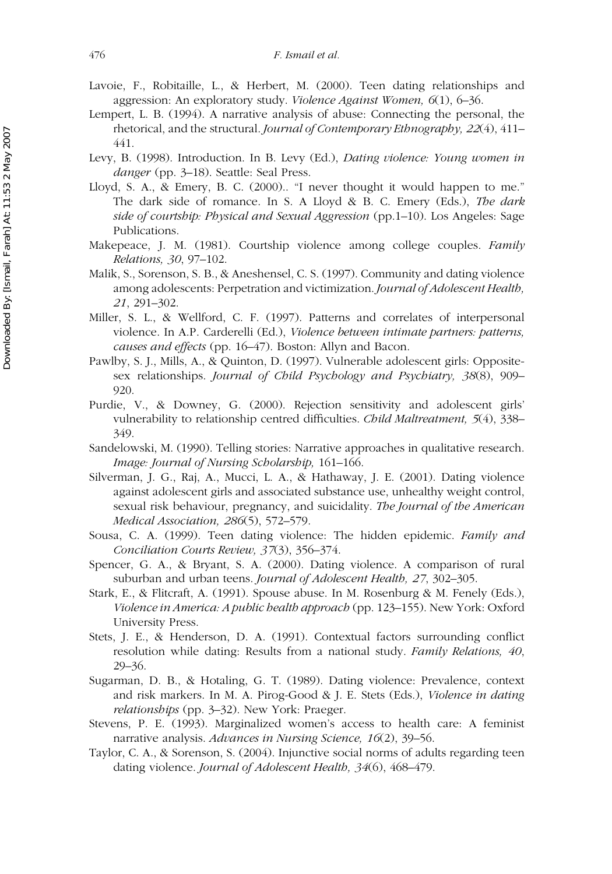- Lavoie, F., Robitaille, L., & Herbert, M. (2000). Teen dating relationships and aggression: An exploratory study. *Violence Against Women, 6*(1), 6–36.
- Lempert, L. B. (1994). A narrative analysis of abuse: Connecting the personal, the rhetorical, and the structural. *Journal of Contemporary Ethnography, 22*(4), 411– 441.
- Levy, B. (1998). Introduction. In B. Levy (Ed.), *Dating violence: Young women in danger* (pp. 3–18). Seattle: Seal Press.
- Lloyd, S. A., & Emery, B. C. (2000).. "I never thought it would happen to me." The dark side of romance. In S. A Lloyd & B. C. Emery (Eds.), *The dark side of courtship: Physical and Sexual Aggression* (pp.1–10). Los Angeles: Sage Publications.
- Makepeace, J. M. (1981). Courtship violence among college couples. *Family Relations, 30*, 97–102.
- Malik, S., Sorenson, S. B., & Aneshensel, C. S. (1997). Community and dating violence among adolescents: Perpetration and victimization. *Journal of Adolescent Health, 21*, 291–302.
- Miller, S. L., & Wellford, C. F. (1997). Patterns and correlates of interpersonal violence. In A.P. Carderelli (Ed.), *Violence between intimate partners: patterns, causes and effects* (pp. 16–47). Boston: Allyn and Bacon.
- Pawlby, S. J., Mills, A., & Quinton, D. (1997). Vulnerable adolescent girls: Oppositesex relationships. *Journal of Child Psychology and Psychiatry, 38*(8), 909– 920.
- Purdie, V., & Downey, G. (2000). Rejection sensitivity and adolescent girls' vulnerability to relationship centred difficulties. *Child Maltreatment, 5*(4), 338– 349.
- Sandelowski, M. (1990). Telling stories: Narrative approaches in qualitative research. *Image: Journal of Nursing Scholarship,* 161–166.
- Silverman, J. G., Raj, A., Mucci, L. A., & Hathaway, J. E. (2001). Dating violence against adolescent girls and associated substance use, unhealthy weight control, sexual risk behaviour, pregnancy, and suicidality. *The Journal of the American Medical Association, 286*(5), 572–579.
- Sousa, C. A. (1999). Teen dating violence: The hidden epidemic. *Family and Conciliation Courts Review, 37*(3), 356–374.
- Spencer, G. A., & Bryant, S. A. (2000). Dating violence. A comparison of rural suburban and urban teens. *Journal of Adolescent Health, 27*, 302–305.
- Stark, E., & Flitcraft, A. (1991). Spouse abuse. In M. Rosenburg & M. Fenely (Eds.), *Violence in America: A public health approach* (pp. 123–155). New York: Oxford University Press.
- Stets, J. E., & Henderson, D. A. (1991). Contextual factors surrounding conflict resolution while dating: Results from a national study. *Family Relations, 40*, 29–36.
- Sugarman, D. B., & Hotaling, G. T. (1989). Dating violence: Prevalence, context and risk markers. In M. A. Pirog-Good & J. E. Stets (Eds.), *Violence in dating relationships* (pp. 3–32). New York: Praeger.
- Stevens, P. E. (1993). Marginalized women's access to health care: A feminist narrative analysis. *Advances in Nursing Science, 16*(2), 39–56.
- Taylor, C. A., & Sorenson, S. (2004). Injunctive social norms of adults regarding teen dating violence. *Journal of Adolescent Health, 34*(6), 468–479.